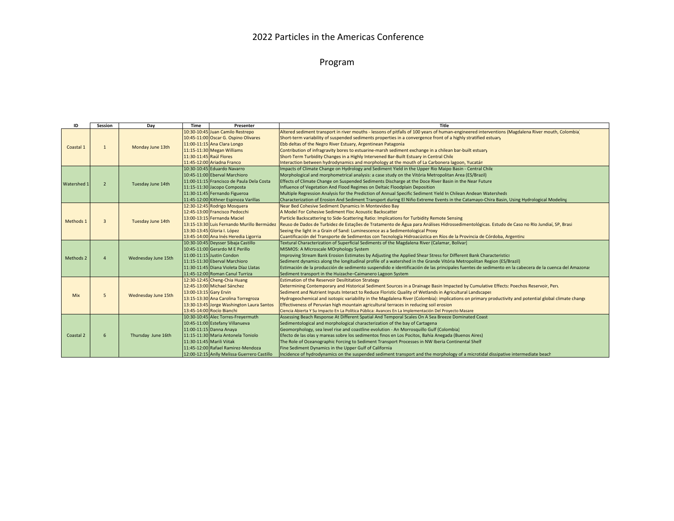## 2022 Particles in the Americas Conference

## Program

| ID          | Session        | Day                 | Time                      | Presenter                                   | Title                                                                                                                                                 |  |
|-------------|----------------|---------------------|---------------------------|---------------------------------------------|-------------------------------------------------------------------------------------------------------------------------------------------------------|--|
| Coastal 1   | $\mathbf{1}$   | Monday June 13th    |                           | 10:30-10:45 Juan Camilo Restrepo            | Altered sediment transport in river mouths - lessons of pitfalls of 100 years of human-engineered interventions (Magdalena River mouth, Colombia)     |  |
|             |                |                     |                           | 10:45-11:00 Oscar G. Ospino Olivares        | Short-term variability of suspended sediments properties in a convergence front of a highly stratified estuary                                        |  |
|             |                |                     |                           | 11:00-11:15 Ana Clara Longo                 | Ebb deltas of the Negro River Estuary, Argentinean Patagonia                                                                                          |  |
|             |                |                     |                           | 11:15-11:30 Megan Williams                  | Contribution of infragravity bores to estuarine-marsh sediment exchange in a chilean bar-built estuary                                                |  |
|             |                |                     | 11:30-11:45 Raúl Flores   |                                             | Short-Term Turbidity Changes in a Highly Intervened Bar-Built Estuary in Central Chile                                                                |  |
|             |                |                     |                           | 11:45-12:00 Ariadna Franco                  | Interaction between hydrodynamics and morphology at the mouth of La Carbonera lagoon, Yucatán                                                         |  |
| Watershed 1 | $\overline{2}$ | Tuesday June 14th   |                           | 10:30-10:45 Eduardo Navarro                 | Impacts of Climate Change on Hydrology and Sediment Yield in the Upper Rio Maipo Basin - Central Chile                                                |  |
|             |                |                     |                           | 10:45-11:00 Eberval Marchioro               | Morphological and morphometrical analysis: a case study on the Vitória Metropolitan Area (ES/Brazil)                                                  |  |
|             |                |                     |                           | 11:00-11:15 Francisco de Paula Dela Costa   | Effects of Climate Change on Suspended Sediments Discharge at the Doce River Basin in the Near Future                                                 |  |
|             |                |                     |                           | 11:15-11:30 Jacopo Composta                 | Influence of Vegetation And Flood Regimes on Deltaic Floodplain Deposition                                                                            |  |
|             |                |                     |                           | 11:30-11:45 Fernando Figueroa               | Multiple Regression Analysis for the Prediction of Annual Specific Sediment Yield In Chilean Andean Watersheds                                        |  |
|             |                |                     |                           | 11:45-12:00 Kithner Espinoza Varillas       | Characterization of Erosion And Sediment Transport during El Niño Extreme Events in the Catamayo-Chira Basin, Using Hydrological Modeling             |  |
| Methods 1   | $\overline{3}$ | Tuesday June 14th   |                           | 12:30-12:45 Rodrigo Mosquera                | Near Bed Cohesive Sediment Dynamics In Montevideo Bay                                                                                                 |  |
|             |                |                     |                           | 12:45-13:00 Francisco Pedocchi              | A Model For Cohesive Sediment Floc Acoustic Backscatter                                                                                               |  |
|             |                |                     |                           | 13:00-13:15 Fernanda Maciel                 | Particle Backscattering to Side-Scattering Ratio: Implications for Turbidity Remote Sensing                                                           |  |
|             |                |                     |                           | 13:15-13:30 Luis Fernando Murillo Bermúdez  | Reuso de Dados de Turbidez de Estações de Tratamento de Água para Análises Hidrossedimentológicas. Estudo de Caso no RIo Jundiaí, SP, Brasi           |  |
|             |                |                     |                           | 13:30-13:45 Gloria I. López                 | Seeing the light in a Grain of Sand: Luminescence as a Sedimentological Proxy                                                                         |  |
|             |                |                     |                           | 13:45-14:00 Ana Inés Heredia Ligorria       | Cuantificación del Transporte de Sedimentos con Tecnología Hidroacústica en Ríos de la Provincia de Córdoba, Argentina                                |  |
| Methods 2   |                | Wednesday June 15th |                           | 10:30-10:45 Deysser Sibaja Castillo         | Textural Characterization of Superficial Sediments of the Magdalena River (Calamar, Bolívar)                                                          |  |
|             |                |                     |                           | 10:45-11:00 Gerardo M E Perillo             | MISMOS: A MIcroscale MOrphology System                                                                                                                |  |
|             |                |                     |                           | 11:00-11:15 Justin Condon                   | Improving Stream Bank Erosion Estimates by Adjusting the Applied Shear Stress for Different Bank Characteristics                                      |  |
|             |                |                     |                           | 11:15-11:30 Eberval Marchioro               | Sediment dynamics along the longitudinal profile of a watershed in the Grande Vitória Metropolitan Region (ES/Brazil)                                 |  |
|             |                |                     |                           | 11:30-11:45 Diana Violeta Díaz Llatas       | Estimación de la producción de sedimento suspendido e identificación de las principales fuentes de sedimento en la cabecera de la cuenca del Amazona: |  |
|             |                |                     |                           | 11:45-12:00 Roman Canul Turriza             | Sediment transport in the Huizache-Caimanero Lagoon System                                                                                            |  |
| <b>Mix</b>  | 5              | Wednesday June 15th |                           | 12:30-12:45 Cheng-Chia Huang                | <b>Estimation of the Reservoir Desiltitation Strategy</b>                                                                                             |  |
|             |                |                     |                           | 12:45-13:00 Michael Sánchez                 | Determining Contemporary and Historical Sediment Sources in a Drainage Basin Impacted by Cumulative Effects: Poechos Reservoir, Peru                  |  |
|             |                |                     | 13:00-13:15 Gary Ervin    |                                             | Sediment and Nutrient Inputs Interact to Reduce Floristic Quality of Wetlands in Agricultural Landscapes                                              |  |
|             |                |                     |                           | 13:15-13:30 Ana Carolina Torregroza         | Hydrogeochemical and isotopic variability in the Magdalena River (Colombia): implications on primary productivity and potential global climate change |  |
|             |                |                     |                           | 13:30-13:45 Jorge Washington Laura Santos   | Effectiveness of Peruvian high mountain agricultural terraces in reducing soil erosion                                                                |  |
|             |                |                     |                           | 13:45-14:00 Rocío Bianchi                   | Ciencia Abierta Y Su Impacto En La Política Pública: Avances En La Implementación Del Proyecto Masare                                                 |  |
| Coastal 2   | 6              | Thursday June 16th  |                           | 10:30-10:45 Alec Torres-Freyermuth          | Assessing Beach Response At Different Spatial And Temporal Scales On A Sea Breeze Dominated Coast                                                     |  |
|             |                |                     |                           | 10:45-11:00 Estefany Villanueva             | Sedimentological and morphological characterization of the bay of Cartagena                                                                           |  |
|             |                |                     |                           | 11:00-11:15 Danna Anaya                     | Geomorphology, sea level rise and coastline evolution - An Morrosquillo Gulf (Colombia)                                                               |  |
|             |                |                     |                           | 11:15-11:30 Maria Antonela Toniolo          | Efecto de las olas y mareas sobre los sedimentos finos en Los Pocitos, Bahía Anegada (Buenos Aires)                                                   |  |
|             |                |                     | 11:30-11:45 Marili Viitak |                                             | The Role of Oceanographic Forcing to Sediment Transport Processes in NW Iberia Continental Shelf                                                      |  |
|             |                |                     |                           | 11:45-12:00 Rafael Ramirez-Mendoza          | Fine Sediment Dynamics in the Upper Gulf of California                                                                                                |  |
|             |                |                     |                           | 12:00-12:15 Anlly Melissa Guerrero Castillo | Incidence of hydrodynamics on the suspended sediment transport and the morphology of a microtidal dissipative intermediate beach                      |  |